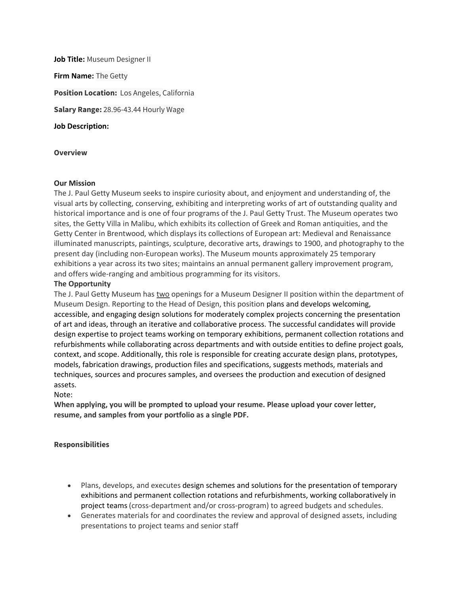**Job Title:** Museum Designer II **Firm Name:** The Getty **Position Location:** Los Angeles, California **Salary Range:** 28.96-43.44 Hourly Wage **Job Description:** 

### **Overview**

#### **Our Mission**

The J. Paul Getty Museum seeks to inspire curiosity about, and enjoyment and understanding of, the visual arts by collecting, conserving, exhibiting and interpreting works of art of outstanding quality and historical importance and is one of four programs of the J. Paul Getty Trust. The Museum operates two sites, the Getty Villa in Malibu, which exhibits its collection of Greek and Roman antiquities, and the Getty Center in Brentwood, which displays its collections of European art: Medieval and Renaissance illuminated manuscripts, paintings, sculpture, decorative arts, drawings to 1900, and photography to the present day (including non-European works). The Museum mounts approximately 25 temporary exhibitions a year across its two sites; maintains an annual permanent gallery improvement program, and offers wide-ranging and ambitious programming for its visitors.

#### **The Opportunity**

The J. Paul Getty Museum has two openings for a Museum Designer II position within the department of Museum Design. Reporting to the Head of Design, this position plans and develops welcoming, accessible, and engaging design solutions for moderately complex projects concerning the presentation of art and ideas, through an iterative and collaborative process. The successful candidates will provide design expertise to project teams working on temporary exhibitions, permanent collection rotations and refurbishments while collaborating across departments and with outside entities to define project goals, context, and scope. Additionally, this role is responsible for creating accurate design plans, prototypes, models, fabrication drawings, production files and specifications, suggests methods, materials and techniques, sources and procures samples, and oversees the production and execution of designed assets.

#### Note:

**When applying, you will be prompted to upload your resume. Please upload your cover letter, resume, and samples from your portfolio as a single PDF.**

#### **Responsibilities**

- Plans, develops, and executes design schemes and solutions for the presentation of temporary exhibitions and permanent collection rotations and refurbishments, working collaboratively in project teams(cross-department and/or cross-program) to agreed budgets and schedules.
- Generates materials for and coordinates the review and approval of designed assets, including presentations to project teams and senior staff